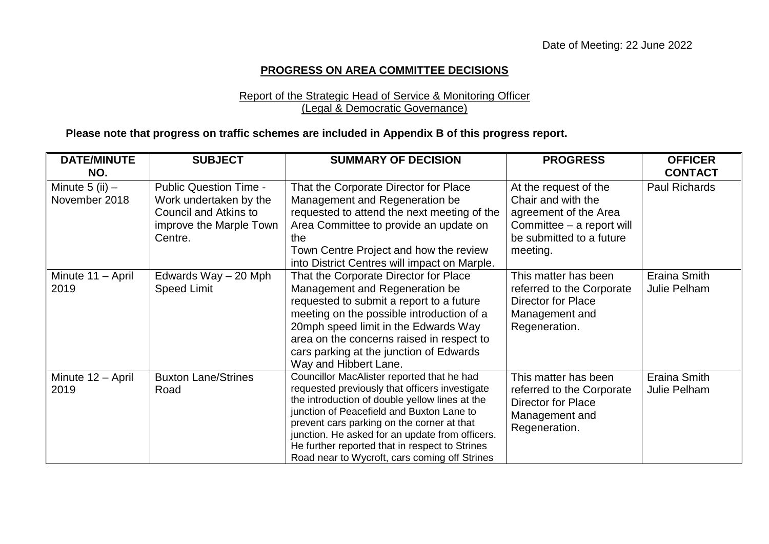## **PROGRESS ON AREA COMMITTEE DECISIONS**

#### Report of the Strategic Head of Service & Monitoring Officer (Legal & Democratic Governance)

### **Please note that progress on traffic schemes are included in Appendix B of this progress report.**

| <b>DATE/MINUTE</b><br>NO.            | <b>SUBJECT</b>                                                                                                                | <b>SUMMARY OF DECISION</b>                                                                                                                                                                                                                                                                                                                                                                      | <b>PROGRESS</b>                                                                                                                           | <b>OFFICER</b><br><b>CONTACT</b> |
|--------------------------------------|-------------------------------------------------------------------------------------------------------------------------------|-------------------------------------------------------------------------------------------------------------------------------------------------------------------------------------------------------------------------------------------------------------------------------------------------------------------------------------------------------------------------------------------------|-------------------------------------------------------------------------------------------------------------------------------------------|----------------------------------|
| Minute $5$ (ii) $-$<br>November 2018 | <b>Public Question Time -</b><br>Work undertaken by the<br><b>Council and Atkins to</b><br>improve the Marple Town<br>Centre. | That the Corporate Director for Place<br>Management and Regeneration be<br>requested to attend the next meeting of the<br>Area Committee to provide an update on<br>the<br>Town Centre Project and how the review<br>into District Centres will impact on Marple.                                                                                                                               | At the request of the<br>Chair and with the<br>agreement of the Area<br>Committee - a report will<br>be submitted to a future<br>meeting. | <b>Paul Richards</b>             |
| Minute 11 - April<br>2019            | Edwards Way - 20 Mph<br><b>Speed Limit</b>                                                                                    | That the Corporate Director for Place<br>Management and Regeneration be<br>requested to submit a report to a future<br>meeting on the possible introduction of a<br>20mph speed limit in the Edwards Way<br>area on the concerns raised in respect to<br>cars parking at the junction of Edwards<br>Way and Hibbert Lane.                                                                       | This matter has been<br>referred to the Corporate<br><b>Director for Place</b><br>Management and<br>Regeneration.                         | Eraina Smith<br>Julie Pelham     |
| Minute 12 - April<br>2019            | <b>Buxton Lane/Strines</b><br>Road                                                                                            | Councillor MacAlister reported that he had<br>requested previously that officers investigate<br>the introduction of double yellow lines at the<br>junction of Peacefield and Buxton Lane to<br>prevent cars parking on the corner at that<br>junction. He asked for an update from officers.<br>He further reported that in respect to Strines<br>Road near to Wycroft, cars coming off Strines | This matter has been<br>referred to the Corporate<br><b>Director for Place</b><br>Management and<br>Regeneration.                         | Eraina Smith<br>Julie Pelham     |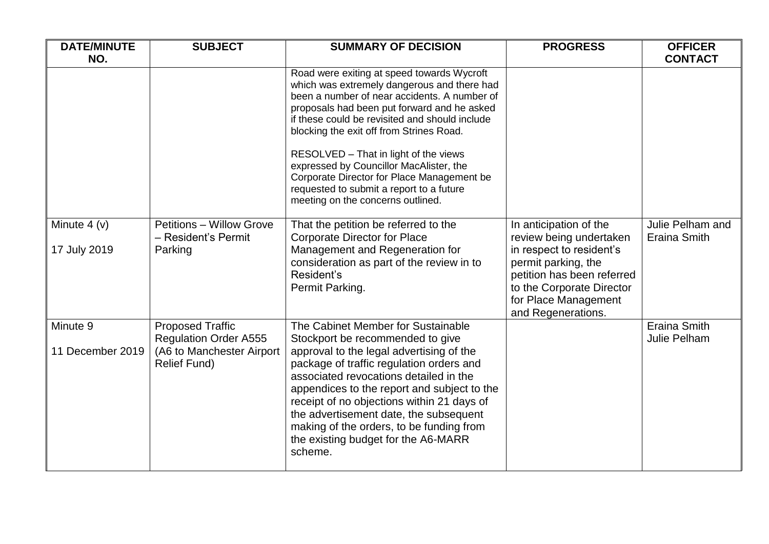| <b>DATE/MINUTE</b>           | <b>SUBJECT</b>                                                                                              | <b>SUMMARY OF DECISION</b>                                                                                                                                                                                                                                                                                                                                                 | <b>PROGRESS</b>                                                                                                                                          | <b>OFFICER</b>                      |
|------------------------------|-------------------------------------------------------------------------------------------------------------|----------------------------------------------------------------------------------------------------------------------------------------------------------------------------------------------------------------------------------------------------------------------------------------------------------------------------------------------------------------------------|----------------------------------------------------------------------------------------------------------------------------------------------------------|-------------------------------------|
| NO.                          |                                                                                                             |                                                                                                                                                                                                                                                                                                                                                                            |                                                                                                                                                          | <b>CONTACT</b>                      |
|                              |                                                                                                             | Road were exiting at speed towards Wycroft<br>which was extremely dangerous and there had<br>been a number of near accidents. A number of<br>proposals had been put forward and he asked<br>if these could be revisited and should include<br>blocking the exit off from Strines Road.<br>RESOLVED - That in light of the views<br>expressed by Councillor MacAlister, the |                                                                                                                                                          |                                     |
|                              |                                                                                                             | Corporate Director for Place Management be<br>requested to submit a report to a future<br>meeting on the concerns outlined.                                                                                                                                                                                                                                                |                                                                                                                                                          |                                     |
| Minute $4(y)$                | Petitions - Willow Grove<br>- Resident's Permit                                                             | That the petition be referred to the<br><b>Corporate Director for Place</b>                                                                                                                                                                                                                                                                                                | In anticipation of the<br>review being undertaken                                                                                                        | Julie Pelham and<br>Eraina Smith    |
| 17 July 2019                 | Parking                                                                                                     | Management and Regeneration for<br>consideration as part of the review in to<br>Resident's<br>Permit Parking.                                                                                                                                                                                                                                                              | in respect to resident's<br>permit parking, the<br>petition has been referred<br>to the Corporate Director<br>for Place Management<br>and Regenerations. |                                     |
| Minute 9<br>11 December 2019 | <b>Proposed Traffic</b><br><b>Regulation Order A555</b><br>(A6 to Manchester Airport<br><b>Relief Fund)</b> | The Cabinet Member for Sustainable<br>Stockport be recommended to give<br>approval to the legal advertising of the<br>package of traffic regulation orders and<br>associated revocations detailed in the                                                                                                                                                                   |                                                                                                                                                          | <b>Eraina Smith</b><br>Julie Pelham |
|                              |                                                                                                             | appendices to the report and subject to the<br>receipt of no objections within 21 days of<br>the advertisement date, the subsequent<br>making of the orders, to be funding from<br>the existing budget for the A6-MARR<br>scheme.                                                                                                                                          |                                                                                                                                                          |                                     |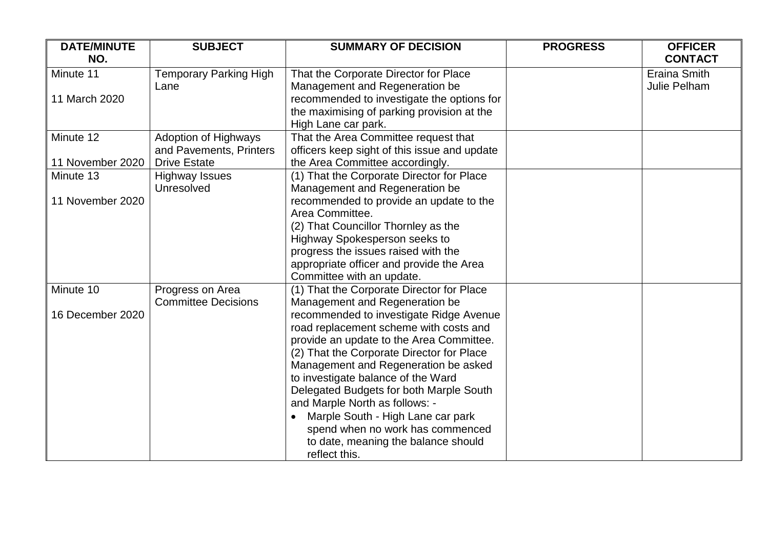| <b>DATE/MINUTE</b><br>NO. | <b>SUBJECT</b>                | <b>SUMMARY OF DECISION</b>                   | <b>PROGRESS</b> | <b>OFFICER</b><br><b>CONTACT</b> |
|---------------------------|-------------------------------|----------------------------------------------|-----------------|----------------------------------|
| Minute 11                 | <b>Temporary Parking High</b> | That the Corporate Director for Place        |                 | <b>Eraina Smith</b>              |
|                           | Lane                          | Management and Regeneration be               |                 | Julie Pelham                     |
| 11 March 2020             |                               | recommended to investigate the options for   |                 |                                  |
|                           |                               | the maximising of parking provision at the   |                 |                                  |
|                           |                               | High Lane car park.                          |                 |                                  |
| Minute 12                 | <b>Adoption of Highways</b>   | That the Area Committee request that         |                 |                                  |
|                           | and Pavements, Printers       | officers keep sight of this issue and update |                 |                                  |
| 11 November 2020          | <b>Drive Estate</b>           | the Area Committee accordingly.              |                 |                                  |
| Minute 13                 | <b>Highway Issues</b>         | (1) That the Corporate Director for Place    |                 |                                  |
|                           | Unresolved                    | Management and Regeneration be               |                 |                                  |
| 11 November 2020          |                               | recommended to provide an update to the      |                 |                                  |
|                           |                               | Area Committee.                              |                 |                                  |
|                           |                               | (2) That Councillor Thornley as the          |                 |                                  |
|                           |                               | <b>Highway Spokesperson seeks to</b>         |                 |                                  |
|                           |                               | progress the issues raised with the          |                 |                                  |
|                           |                               | appropriate officer and provide the Area     |                 |                                  |
|                           |                               | Committee with an update.                    |                 |                                  |
| Minute 10                 | Progress on Area              | (1) That the Corporate Director for Place    |                 |                                  |
|                           | <b>Committee Decisions</b>    | Management and Regeneration be               |                 |                                  |
| 16 December 2020          |                               | recommended to investigate Ridge Avenue      |                 |                                  |
|                           |                               | road replacement scheme with costs and       |                 |                                  |
|                           |                               | provide an update to the Area Committee.     |                 |                                  |
|                           |                               | (2) That the Corporate Director for Place    |                 |                                  |
|                           |                               | Management and Regeneration be asked         |                 |                                  |
|                           |                               | to investigate balance of the Ward           |                 |                                  |
|                           |                               | Delegated Budgets for both Marple South      |                 |                                  |
|                           |                               | and Marple North as follows: -               |                 |                                  |
|                           |                               | Marple South - High Lane car park            |                 |                                  |
|                           |                               | spend when no work has commenced             |                 |                                  |
|                           |                               | to date, meaning the balance should          |                 |                                  |
|                           |                               | reflect this.                                |                 |                                  |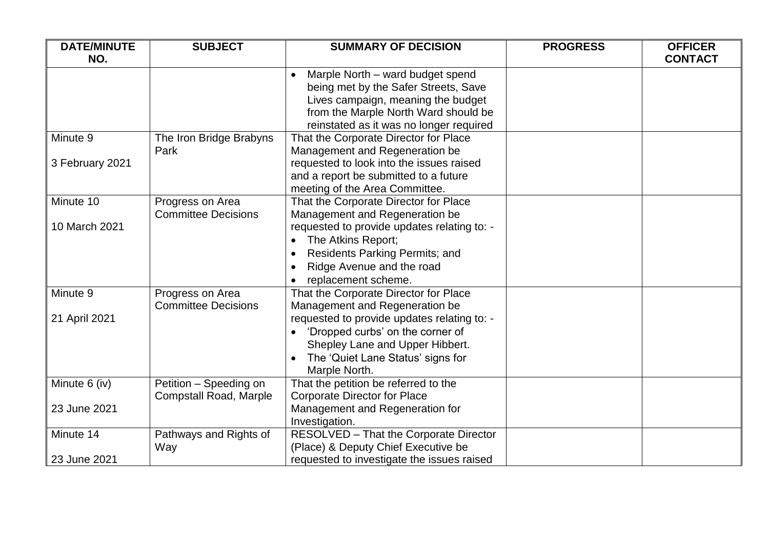| <b>DATE/MINUTE</b> | <b>SUBJECT</b>                                          | <b>SUMMARY OF DECISION</b>                                                                                                                                                                                     | <b>PROGRESS</b> | <b>OFFICER</b> |
|--------------------|---------------------------------------------------------|----------------------------------------------------------------------------------------------------------------------------------------------------------------------------------------------------------------|-----------------|----------------|
| NO.                |                                                         |                                                                                                                                                                                                                |                 | <b>CONTACT</b> |
|                    |                                                         | Marple North - ward budget spend<br>$\bullet$<br>being met by the Safer Streets, Save<br>Lives campaign, meaning the budget<br>from the Marple North Ward should be<br>reinstated as it was no longer required |                 |                |
| Minute 9           | The Iron Bridge Brabyns<br>Park                         | That the Corporate Director for Place<br>Management and Regeneration be                                                                                                                                        |                 |                |
| 3 February 2021    |                                                         | requested to look into the issues raised<br>and a report be submitted to a future<br>meeting of the Area Committee.                                                                                            |                 |                |
| Minute 10          | Progress on Area<br><b>Committee Decisions</b>          | That the Corporate Director for Place<br>Management and Regeneration be                                                                                                                                        |                 |                |
| 10 March 2021      |                                                         | requested to provide updates relating to: -<br>The Atkins Report;<br><b>Residents Parking Permits; and</b><br>$\bullet$<br>Ridge Avenue and the road<br>replacement scheme.                                    |                 |                |
| Minute 9           | Progress on Area<br><b>Committee Decisions</b>          | That the Corporate Director for Place<br>Management and Regeneration be                                                                                                                                        |                 |                |
| 21 April 2021      |                                                         | requested to provide updates relating to: -<br>'Dropped curbs' on the corner of<br>Shepley Lane and Upper Hibbert.<br>The 'Quiet Lane Status' signs for<br>Marple North.                                       |                 |                |
| Minute 6 (iv)      | Petition - Speeding on<br><b>Compstall Road, Marple</b> | That the petition be referred to the<br><b>Corporate Director for Place</b>                                                                                                                                    |                 |                |
| 23 June 2021       |                                                         | Management and Regeneration for<br>Investigation.                                                                                                                                                              |                 |                |
| Minute 14          | Pathways and Rights of<br>Way                           | RESOLVED - That the Corporate Director<br>(Place) & Deputy Chief Executive be                                                                                                                                  |                 |                |
| 23 June 2021       |                                                         | requested to investigate the issues raised                                                                                                                                                                     |                 |                |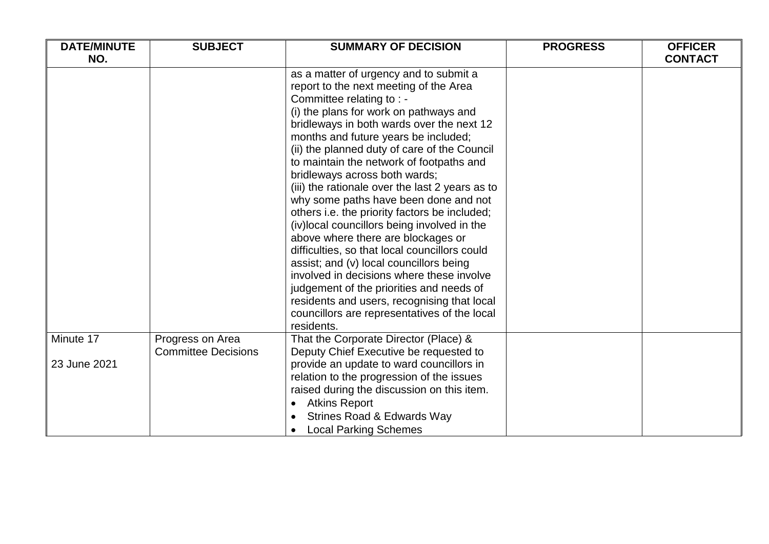| <b>DATE/MINUTE</b><br><b>SUBJECT</b> |                                                | <b>SUMMARY OF DECISION</b>                                                                                                                                                                                                                                                                                                                                                                                                                                                                                                                                                                                                                                                                                                                                                                                                                                                                       | <b>PROGRESS</b> | <b>OFFICER</b> |
|--------------------------------------|------------------------------------------------|--------------------------------------------------------------------------------------------------------------------------------------------------------------------------------------------------------------------------------------------------------------------------------------------------------------------------------------------------------------------------------------------------------------------------------------------------------------------------------------------------------------------------------------------------------------------------------------------------------------------------------------------------------------------------------------------------------------------------------------------------------------------------------------------------------------------------------------------------------------------------------------------------|-----------------|----------------|
| NO.                                  |                                                |                                                                                                                                                                                                                                                                                                                                                                                                                                                                                                                                                                                                                                                                                                                                                                                                                                                                                                  |                 | <b>CONTACT</b> |
|                                      |                                                | as a matter of urgency and to submit a<br>report to the next meeting of the Area<br>Committee relating to : -<br>(i) the plans for work on pathways and<br>bridleways in both wards over the next 12<br>months and future years be included;<br>(ii) the planned duty of care of the Council<br>to maintain the network of footpaths and<br>bridleways across both wards;<br>(iii) the rationale over the last 2 years as to<br>why some paths have been done and not<br>others i.e. the priority factors be included;<br>(iv) local councillors being involved in the<br>above where there are blockages or<br>difficulties, so that local councillors could<br>assist; and (v) local councillors being<br>involved in decisions where these involve<br>judgement of the priorities and needs of<br>residents and users, recognising that local<br>councillors are representatives of the local |                 |                |
|                                      |                                                | residents.                                                                                                                                                                                                                                                                                                                                                                                                                                                                                                                                                                                                                                                                                                                                                                                                                                                                                       |                 |                |
| Minute 17                            | Progress on Area<br><b>Committee Decisions</b> | That the Corporate Director (Place) &<br>Deputy Chief Executive be requested to                                                                                                                                                                                                                                                                                                                                                                                                                                                                                                                                                                                                                                                                                                                                                                                                                  |                 |                |
| 23 June 2021                         |                                                | provide an update to ward councillors in<br>relation to the progression of the issues<br>raised during the discussion on this item.<br><b>Atkins Report</b><br><b>Strines Road &amp; Edwards Way</b><br><b>Local Parking Schemes</b>                                                                                                                                                                                                                                                                                                                                                                                                                                                                                                                                                                                                                                                             |                 |                |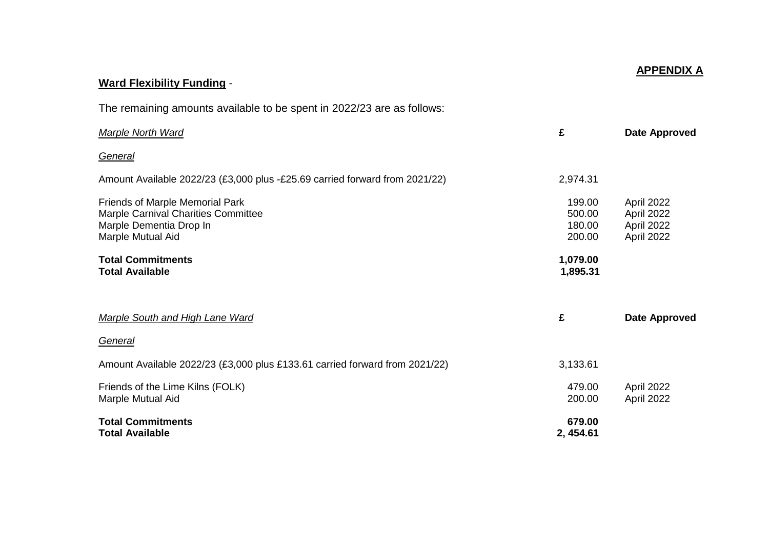# **APPENDIX A**

# **Ward Flexibility Funding** -

The remaining amounts available to be spent in 2022/23 are as follows:

| <b>Marple North Ward</b>                                                                                               | £                                    | Date Approved                                        |
|------------------------------------------------------------------------------------------------------------------------|--------------------------------------|------------------------------------------------------|
| General                                                                                                                |                                      |                                                      |
| Amount Available 2022/23 (£3,000 plus -£25.69 carried forward from 2021/22)                                            | 2,974.31                             |                                                      |
| Friends of Marple Memorial Park<br>Marple Carnival Charities Committee<br>Marple Dementia Drop In<br>Marple Mutual Aid | 199.00<br>500.00<br>180.00<br>200.00 | April 2022<br>April 2022<br>April 2022<br>April 2022 |
| <b>Total Commitments</b><br><b>Total Available</b>                                                                     | 1,079.00<br>1,895.31                 |                                                      |
| <b>Marple South and High Lane Ward</b>                                                                                 | £                                    | Date Approved                                        |
| General                                                                                                                |                                      |                                                      |
| Amount Available 2022/23 (£3,000 plus £133.61 carried forward from 2021/22)                                            | 3,133.61                             |                                                      |
| Friends of the Lime Kilns (FOLK)<br>Marple Mutual Aid                                                                  | 479.00<br>200.00                     | April 2022<br>April 2022                             |
| <b>Total Commitments</b><br><b>Total Available</b>                                                                     | 679.00<br>2, 454.61                  |                                                      |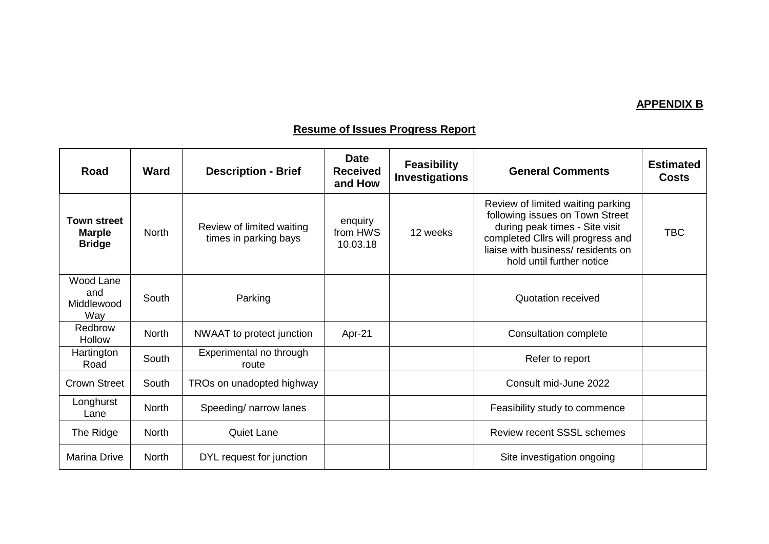# **APPENDIX B**

# **Resume of Issues Progress Report**

| Road                                                 | Ward         | <b>Description - Brief</b>                         | <b>Date</b><br><b>Received</b><br>and How | <b>Feasibility</b><br><b>Investigations</b> | <b>General Comments</b>                                                                                                                                                                                        | <b>Estimated</b><br><b>Costs</b> |
|------------------------------------------------------|--------------|----------------------------------------------------|-------------------------------------------|---------------------------------------------|----------------------------------------------------------------------------------------------------------------------------------------------------------------------------------------------------------------|----------------------------------|
| <b>Town street</b><br><b>Marple</b><br><b>Bridge</b> | <b>North</b> | Review of limited waiting<br>times in parking bays | enquiry<br>from HWS<br>10.03.18           | 12 weeks                                    | Review of limited waiting parking<br>following issues on Town Street<br>during peak times - Site visit<br>completed Cllrs will progress and<br>liaise with business/ residents on<br>hold until further notice | TBC                              |
| Wood Lane<br>and<br>Middlewood<br>Way                | South        | Parking                                            |                                           |                                             | Quotation received                                                                                                                                                                                             |                                  |
| Redbrow<br><b>Hollow</b>                             | <b>North</b> | NWAAT to protect junction                          | Apr-21                                    |                                             | <b>Consultation complete</b>                                                                                                                                                                                   |                                  |
| Hartington<br>Road                                   | South        | Experimental no through<br>route                   |                                           |                                             | Refer to report                                                                                                                                                                                                |                                  |
| <b>Crown Street</b>                                  | South        | TROs on unadopted highway                          |                                           |                                             | Consult mid-June 2022                                                                                                                                                                                          |                                  |
| Longhurst<br>Lane                                    | <b>North</b> | Speeding/ narrow lanes                             |                                           |                                             | Feasibility study to commence                                                                                                                                                                                  |                                  |
| The Ridge                                            | <b>North</b> | <b>Quiet Lane</b>                                  |                                           |                                             | <b>Review recent SSSL schemes</b>                                                                                                                                                                              |                                  |
| <b>Marina Drive</b>                                  | <b>North</b> | DYL request for junction                           |                                           |                                             | Site investigation ongoing                                                                                                                                                                                     |                                  |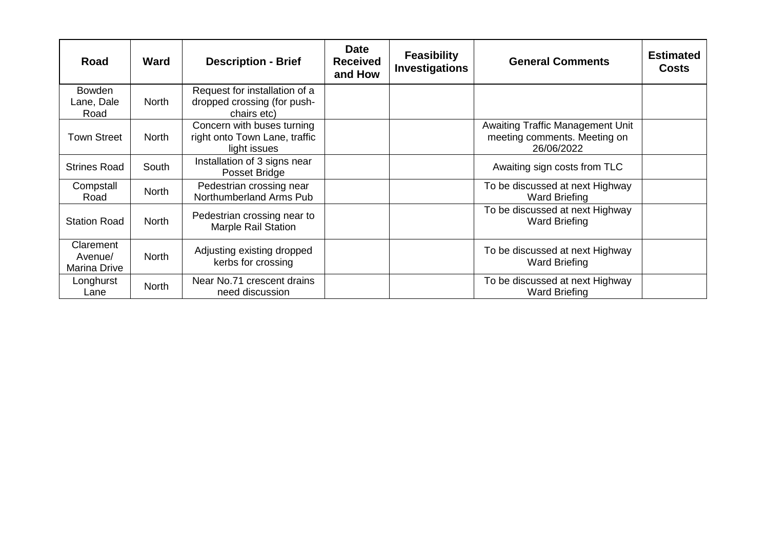| Road                                 | <b>Ward</b>  | <b>Description - Brief</b>                                                  | <b>Date</b><br><b>Received</b><br>and How | <b>Feasibility</b><br><b>Investigations</b> | <b>General Comments</b>                                                               | <b>Estimated</b><br><b>Costs</b> |
|--------------------------------------|--------------|-----------------------------------------------------------------------------|-------------------------------------------|---------------------------------------------|---------------------------------------------------------------------------------------|----------------------------------|
| <b>Bowden</b><br>Lane, Dale<br>Road  | <b>North</b> | Request for installation of a<br>dropped crossing (for push-<br>chairs etc) |                                           |                                             |                                                                                       |                                  |
| <b>Town Street</b>                   | <b>North</b> | Concern with buses turning<br>right onto Town Lane, traffic<br>light issues |                                           |                                             | <b>Awaiting Traffic Management Unit</b><br>meeting comments. Meeting on<br>26/06/2022 |                                  |
| <b>Strines Road</b>                  | South        | Installation of 3 signs near<br>Posset Bridge                               |                                           |                                             | Awaiting sign costs from TLC                                                          |                                  |
| Compstall<br>Road                    | <b>North</b> | Pedestrian crossing near<br>Northumberland Arms Pub                         |                                           |                                             | To be discussed at next Highway<br><b>Ward Briefing</b>                               |                                  |
| <b>Station Road</b>                  | <b>North</b> | Pedestrian crossing near to<br><b>Marple Rail Station</b>                   |                                           |                                             | To be discussed at next Highway<br><b>Ward Briefing</b>                               |                                  |
| Clarement<br>Avenue/<br>Marina Drive | <b>North</b> | Adjusting existing dropped<br>kerbs for crossing                            |                                           |                                             | To be discussed at next Highway<br><b>Ward Briefing</b>                               |                                  |
| Longhurst<br>Lane                    | <b>North</b> | Near No.71 crescent drains<br>need discussion                               |                                           |                                             | To be discussed at next Highway<br><b>Ward Briefing</b>                               |                                  |